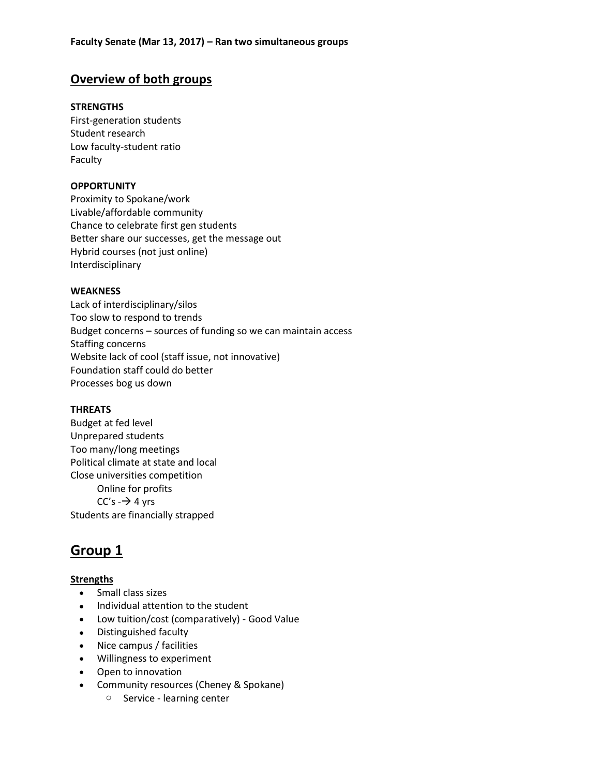# **Overview of both groups**

### **STRENGTHS**

First-generation students Student research Low faculty-student ratio Faculty

#### **OPPORTUNITY**

Proximity to Spokane/work Livable/affordable community Chance to celebrate first gen students Better share our successes, get the message out Hybrid courses (not just online) Interdisciplinary

#### **WEAKNESS**

Lack of interdisciplinary/silos Too slow to respond to trends Budget concerns – sources of funding so we can maintain access Staffing concerns Website lack of cool (staff issue, not innovative) Foundation staff could do better Processes bog us down

#### **THREATS**

Budget at fed level Unprepared students Too many/long meetings Political climate at state and local Close universities competition Online for profits  $CC's \rightarrow 4$  yrs Students are financially strapped

# **Group 1**

# **Strengths**

- Small class sizes
- Individual attention to the student
- Low tuition/cost (comparatively) Good Value
- Distinguished faculty
- Nice campus / facilities
- Willingness to experiment
- Open to innovation
- Community resources (Cheney & Spokane)
	- o Service learning center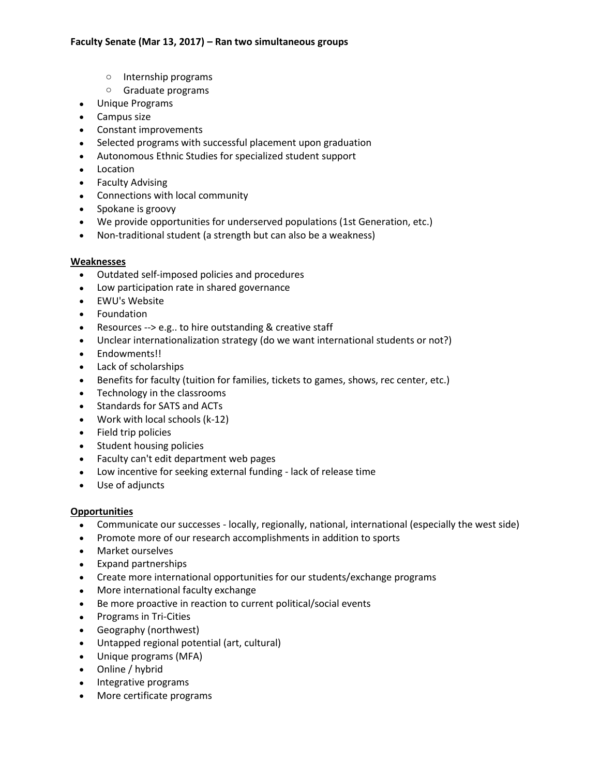- o Internship programs
- o Graduate programs
- Unique Programs
- Campus size
- Constant improvements
- Selected programs with successful placement upon graduation
- Autonomous Ethnic Studies for specialized student support
- Location
- Faculty Advising
- Connections with local community
- Spokane is groovy
- We provide opportunities for underserved populations (1st Generation, etc.)
- Non-traditional student (a strength but can also be a weakness)

# **Weaknesses**

- Outdated self-imposed policies and procedures
- Low participation rate in shared governance
- EWU's Website
- Foundation
- Resources --> e.g.. to hire outstanding & creative staff
- Unclear internationalization strategy (do we want international students or not?)
- Endowments!!
- Lack of scholarships
- Benefits for faculty (tuition for families, tickets to games, shows, rec center, etc.)
- Technology in the classrooms
- Standards for SATS and ACTs
- Work with local schools (k-12)
- Field trip policies
- Student housing policies
- Faculty can't edit department web pages
- Low incentive for seeking external funding lack of release time
- Use of adjuncts

# **Opportunities**

- Communicate our successes locally, regionally, national, international (especially the west side)
- Promote more of our research accomplishments in addition to sports
- Market ourselves
- Expand partnerships
- Create more international opportunities for our students/exchange programs
- More international faculty exchange
- Be more proactive in reaction to current political/social events
- Programs in Tri-Cities
- Geography (northwest)
- Untapped regional potential (art, cultural)
- Unique programs (MFA)
- Online / hybrid
- Integrative programs
- More certificate programs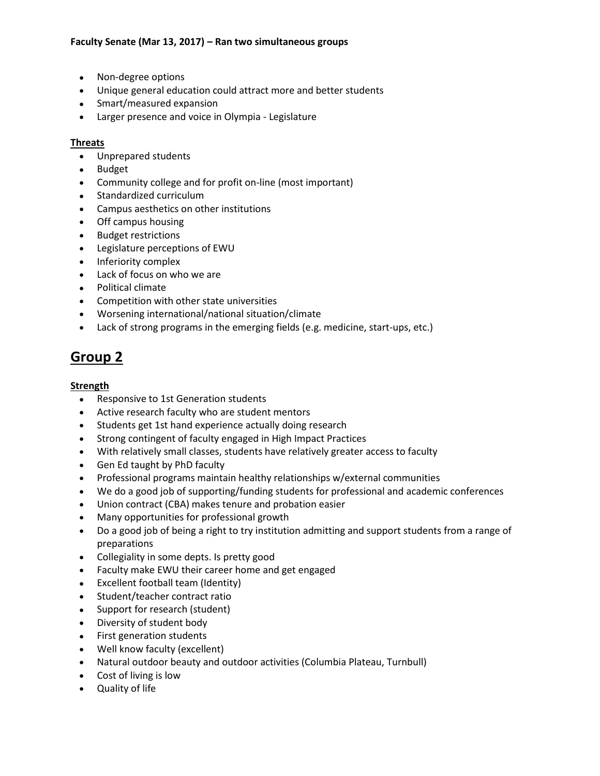- Non-degree options
- Unique general education could attract more and better students
- Smart/measured expansion
- Larger presence and voice in Olympia Legislature

#### **Threats**

- Unprepared students
- Budget
- Community college and for profit on-line (most important)
- Standardized curriculum
- Campus aesthetics on other institutions
- Off campus housing
- Budget restrictions
- Legislature perceptions of EWU
- Inferiority complex
- Lack of focus on who we are
- Political climate
- Competition with other state universities
- Worsening international/national situation/climate
- Lack of strong programs in the emerging fields (e.g. medicine, start-ups, etc.)

# **Group 2**

# **Strength**

- Responsive to 1st Generation students
- Active research faculty who are student mentors
- Students get 1st hand experience actually doing research
- Strong contingent of faculty engaged in High Impact Practices
- With relatively small classes, students have relatively greater access to faculty
- Gen Ed taught by PhD faculty
- Professional programs maintain healthy relationships w/external communities
- We do a good job of supporting/funding students for professional and academic conferences
- Union contract (CBA) makes tenure and probation easier
- Many opportunities for professional growth
- Do a good job of being a right to try institution admitting and support students from a range of preparations
- Collegiality in some depts. Is pretty good
- Faculty make EWU their career home and get engaged
- Excellent football team (Identity)
- Student/teacher contract ratio
- Support for research (student)
- Diversity of student body
- First generation students
- Well know faculty (excellent)
- Natural outdoor beauty and outdoor activities (Columbia Plateau, Turnbull)
- Cost of living is low
- Quality of life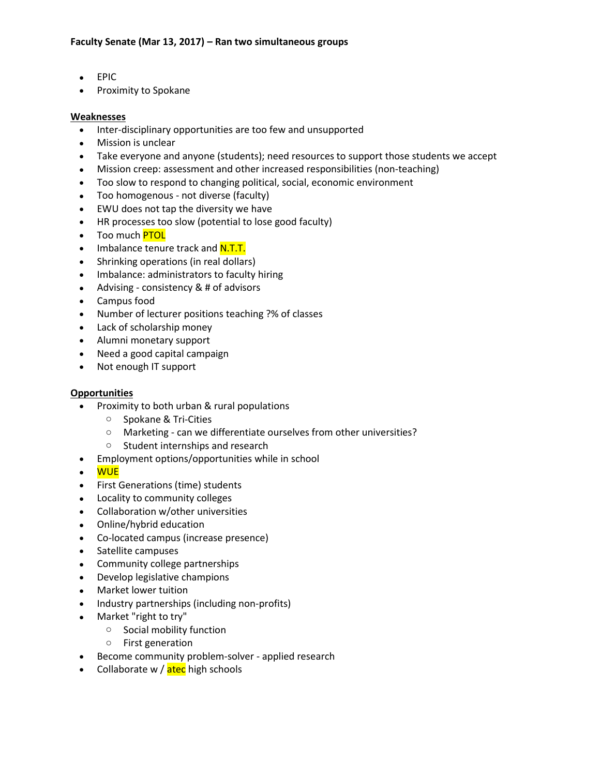- EPIC
- Proximity to Spokane

#### **Weaknesses**

- Inter-disciplinary opportunities are too few and unsupported
- Mission is unclear
- Take everyone and anyone (students); need resources to support those students we accept
- Mission creep: assessment and other increased responsibilities (non-teaching)
- Too slow to respond to changing political, social, economic environment
- Too homogenous not diverse (faculty)
- EWU does not tap the diversity we have
- HR processes too slow (potential to lose good faculty)
- Too much <mark>PTOL</mark>
- Imbalance tenure track and N.T.T.
- Shrinking operations (in real dollars)
- Imbalance: administrators to faculty hiring
- Advising consistency & # of advisors
- Campus food
- Number of lecturer positions teaching ?% of classes
- Lack of scholarship money
- Alumni monetary support
- Need a good capital campaign
- Not enough IT support

#### **Opportunities**

- Proximity to both urban & rural populations
	- o Spokane & Tri-Cities
	- o Marketing can we differentiate ourselves from other universities?
	- o Student internships and research
- Employment options/opportunities while in school
- WUE
- First Generations (time) students
- Locality to community colleges
- Collaboration w/other universities
- Online/hybrid education
- Co-located campus (increase presence)
- Satellite campuses
- Community college partnerships
- Develop legislative champions
- Market lower tuition
- Industry partnerships (including non-profits)
- Market "right to try"
	- o Social mobility function
	- o First generation
- Become community problem-solver applied research
- Collaborate w / atec high schools